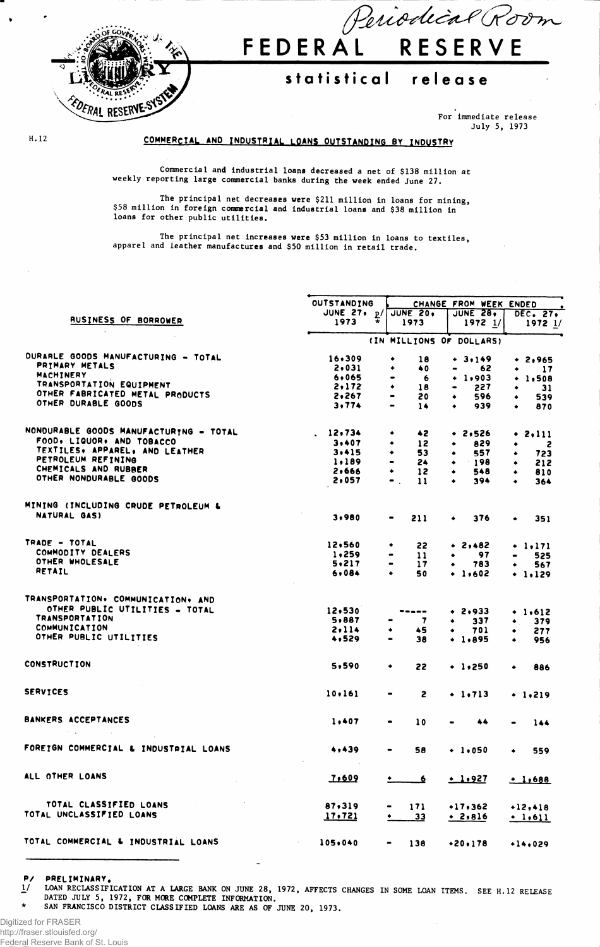

# Periodical Room **FEDERA L RESERV E**

## **statistica l releas e**

**For immediate release July 5, 1973**

#### H. 12

### COMMERCIAL AND INDUSTRIAL LOANS OUTSTANDING BY INDUSTRY

**Commercial and Industrial loans decreased a net of \$138 million at weekly reporting large commercial banks during the week ended June 27.**

**The principal net decreases were \$211 million in loans for mining, \$58 million in foreign commercial and industrial loans and \$38 million in loans for other public utilities.**

**The principal net increases were \$53 million in loans to textiles, apparel and leather manufactures and \$50 million in retail trade.**

|                                                                                                                                                 | <b>OUTSTANDING</b> | CHANGE FROM WEEK ENDED                        |                  |                  |  |  |  |
|-------------------------------------------------------------------------------------------------------------------------------------------------|--------------------|-----------------------------------------------|------------------|------------------|--|--|--|
|                                                                                                                                                 | JUNE 27, p/        | JUNE 20.                                      | <b>JUNE 28,</b>  | DEC. 27.         |  |  |  |
| RUSINESS OF BORROWER                                                                                                                            | 1973               | 1973                                          | 19721/           | $1972$ $1/$      |  |  |  |
|                                                                                                                                                 |                    | (IN MILLIONS OF DOLLARS)                      |                  |                  |  |  |  |
| DURARLE GOODS MANUFACTURING - TOTAL                                                                                                             | 16,309             | ۰<br>18                                       | $+ 3.149$        | $+2,965$         |  |  |  |
| PRIMARY METALS                                                                                                                                  | 2,031              | 40<br>٠                                       | 62               | ٠<br>17          |  |  |  |
| <b>MACHINERY</b>                                                                                                                                | 6,065              | 6<br>$\bullet$                                | $+ 1,903$        | $+ 1.508$        |  |  |  |
| TRANSPORTATION EQUIPMENT                                                                                                                        | 2,172              | ٠<br>18                                       | 227<br>$\bullet$ | 31<br>٠          |  |  |  |
| OTHER FABRICATED METAL PRODUCTS                                                                                                                 | 2,267              | $\blacksquare$<br>20                          | 596<br>۰         | 539              |  |  |  |
| OTHER DURABLE GOODS                                                                                                                             | 3,774              | 14<br>$\blacksquare$                          | 939<br>٠         | 870<br>٠         |  |  |  |
| NONDURABLE GOODS MANUFACTURING - TOTAL                                                                                                          | . 12.734           | 42<br>٠                                       |                  |                  |  |  |  |
| FOOD, LIQUOR, AND TOBACCO                                                                                                                       |                    |                                               | $+ 2,526$        | $+ 2, 111$       |  |  |  |
| TEXTILES, APPAREL, AND LEATHER                                                                                                                  | 3,407              | 12<br>٠<br>٠                                  | 829<br>۰         | 2                |  |  |  |
| PETROLEUM REFINING                                                                                                                              | 3.415              | 53                                            | 557<br>$\bullet$ | 723<br>٠         |  |  |  |
| CHEMICALS AND RUBBER                                                                                                                            | 1.189<br>2,666     | 24<br>۰                                       | 198<br>$\bullet$ | 212<br>٠         |  |  |  |
| OTHER NONDURABLE GOODS                                                                                                                          |                    | 12                                            | 548<br>٠         | 810<br>٠         |  |  |  |
|                                                                                                                                                 | 2,057              | $\bullet$ .<br>11                             | 394<br>٠         | 364<br>$\bullet$ |  |  |  |
| MINING (INCLUDING CRUDE PETROLEUM &                                                                                                             |                    |                                               |                  |                  |  |  |  |
| <b>NATURAL GAS)</b>                                                                                                                             | 3,980              | 211<br>$\bullet$                              | 376<br>٠         | 351<br>٠         |  |  |  |
| TRADE - TOTAL                                                                                                                                   | 12,560             | 22<br>٠                                       | $+ 2,482$        | $+ 1.171$        |  |  |  |
| COMMODITY DEALERS                                                                                                                               | 1,259              | $\mathbf{11}$<br>$\qquad \qquad \blacksquare$ | 97<br>۰          | 525              |  |  |  |
| OTHER WHOLESALE                                                                                                                                 | 5,217              | 17<br>$\blacksquare$                          | 783<br>۰         | 567<br>$\bullet$ |  |  |  |
| RETAIL                                                                                                                                          | 6,084              | 50<br>$\bullet$                               | $+ 1,602$        | $+ 1.129$        |  |  |  |
|                                                                                                                                                 |                    |                                               |                  |                  |  |  |  |
| TRANSPORTATION. COMMUNICATION. AND                                                                                                              |                    |                                               |                  |                  |  |  |  |
| OTHER PUBLIC UTILITIES - TOTAL                                                                                                                  | 12,530             | -----                                         | $+ 2,933$        | $+ 1,612$        |  |  |  |
| <b>TRANSPORTATION</b>                                                                                                                           | 5,887              | 7                                             | 337<br>٠         | 379<br>٠         |  |  |  |
| COMMUNICATION                                                                                                                                   | 2.114              | 45<br>٠                                       | 701              | 277<br>۰         |  |  |  |
| OTHER PUBLIC UTILITIES                                                                                                                          | 4,529              | 38<br>$\bullet$                               | $+ 1,895$        | 956<br>٠         |  |  |  |
| <b>CONSTRUCTION</b>                                                                                                                             | 5,590              | ٠<br>22                                       | $+ 1.250$        | ٠<br>886         |  |  |  |
|                                                                                                                                                 |                    |                                               |                  |                  |  |  |  |
| <b>SERVICES</b>                                                                                                                                 | 10, 161            | $\overline{c}$                                | $+ 1.713$        | $+ 1.219$        |  |  |  |
| <b>BANKERS ACCEPTANCES</b>                                                                                                                      | 1,407              | 10<br>$\qquad \qquad \blacksquare$            | 44               | 144<br>$\bullet$ |  |  |  |
| FOREIGN COMMERCIAL & INDUSTRIAL LOANS                                                                                                           | 4,439              | 58                                            | + 1,050          | 559              |  |  |  |
| ALL OTHER LOANS<br>$\mathcal{L}^{\mathcal{L}}$ and $\mathcal{L}^{\mathcal{L}}$ are the set of the set of the set of $\mathcal{L}^{\mathcal{L}}$ | <b>1,609</b>       | $\overline{\phantom{0}}$ 6                    | .1.927           | .1,688           |  |  |  |
| TOTAL CLASSIFIED LOANS                                                                                                                          |                    |                                               |                  |                  |  |  |  |
| TOTAL UNCLASSIFIED LOANS                                                                                                                        | 87,319             | 171                                           | $+17,362$        | $+12,418$        |  |  |  |
|                                                                                                                                                 | 17.721             | 33                                            | .2.816           | $+ 1,611$        |  |  |  |
| TOTAL COMMERCIAL & INDUSTRIAL LOANS                                                                                                             | 105,040            | 138                                           | $+20.178$        | $+14,029$        |  |  |  |

PRELIMINARY.

LOAN RECLASSIFICATION AT A LARGE BANK ON JUNE 28, 1972, AFFECTS CHANGES IN SOME LOAN ITEMS. SEE H.12 RELEASE  $\frac{1}{2}$ **DATED JULY 5, 1972, FOR MORE COMPLETE INFORMATION.**

**\* SAN FRANCISCO DISTRICT CLASSIFIED LOANS ARE AS OF JUNE 20, 1973.**

Digitized for FRASER http://fraser.stlouisfed.org/ Federal Reserve Bank of St. Louis